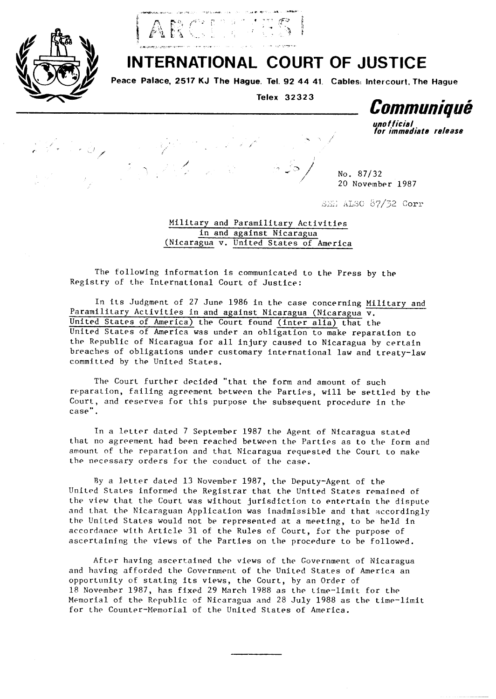



## **INTERNATIONAL COURT OF JUSTICE**

Peace Palace, 2517 KJ The Hague. Tel. 92 44 41. Cables: Intercourt, The Hague

Telex 32323

Communique

nn fficial for immediate release

No. 87/32 20 November 1987

SME ALSO 87/32 Corr

Military and Paramilitary Activities in and against Nicaragua (Nicaragua v. United States of America

The following information is communicated to the Press by the Registry of the International Court of Justice:

In its Judgment of 27 June 1986 in the case concerning Military and Paramilitary Activities in and against Nicaragua (Nicaragua v. United States of America) the Court found (inter alia) that the United States of America was under an obligation to make reparation to the Republic of Nicaragua for all injury caused to Nicaragua by certain breaches of obligations under customary international law and treaty-law committed by the United States.

The Court further decided "that the form and amount of such reparation, failing agreement between the Parties, will be settled by the Court, and reserves for this purpose the subsequent procedure in the case".

In a letter dated 7 September 1987 the Agent of Nicaragua stated that no agreement had been reached between the Parties as to the form and amount of the reparation and that Nicaragua requested the Court to make the necessary orders for the conduct of the case.

By a letter dated 13 November 1987, the Deputy-Agent of the United States informed the Registrar that the United States remained of the view that the Court was without jurisdiction to entertain the dispute and that the Nicaraguan Application was inadmissible and that accordingly the United States would not be represented at a meeting, to be held in accordance with Article 31 of the Rules of Court, for the purpose of ascertaining the views of the Parties on the procedure to be followed.

After having ascertained the views of the Government of Nicaragua and having afforded the Government of the United States of America an opportunity of stating its views, the Court, by an Order of 18 November 1987, has fixed 29 March 1988 as the time-limit for the Memorial of the Republic of Nicaragua and 28 July 1988 as the time-limit for the Counter-Memorial of the United States of America.